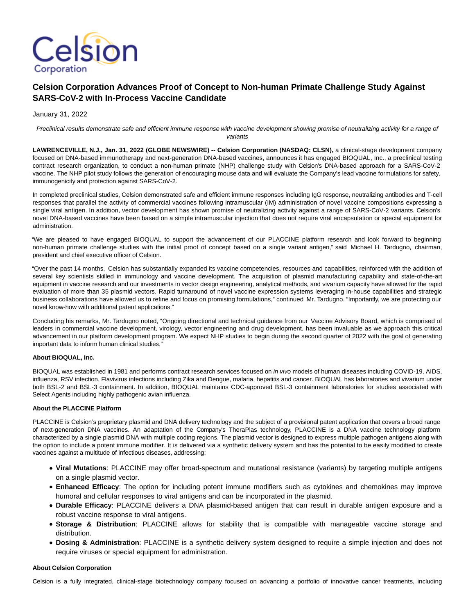

# **Celsion Corporation Advances Proof of Concept to Non-human Primate Challenge Study Against SARS-CoV-2 with In-Process Vaccine Candidate**

January 31, 2022

Preclinical results demonstrate safe and efficient immune response with vaccine development showing promise of neutralizing activity for a range of variants

**LAWRENCEVILLE, N.J., Jan. 31, 2022 (GLOBE NEWSWIRE) -- Celsion Corporation (NASDAQ: CLSN),** a clinical-stage development company focused on DNA-based immunotherapy and next-generation DNA-based vaccines, announces it has engaged BIOQUAL, Inc., a preclinical testing contract research organization, to conduct a non-human primate (NHP) challenge study with Celsion's DNA-based approach for a SARS-CoV-2 vaccine. The NHP pilot study follows the generation of encouraging mouse data and will evaluate the Company's lead vaccine formulations for safety, immunogenicity and protection against SARS-CoV-2.

In completed preclinical studies, Celsion demonstrated safe and efficient immune responses including IgG response, neutralizing antibodies and T-cell responses that parallel the activity of commercial vaccines following intramuscular (IM) administration of novel vaccine compositions expressing a single viral antigen. In addition, vector development has shown promise of neutralizing activity against a range of SARS-CoV-2 variants. Celsion's novel DNA-based vaccines have been based on a simple intramuscular injection that does not require viral encapsulation or special equipment for administration.

"We are pleased to have engaged BIOQUAL to support the advancement of our PLACCINE platform research and look forward to beginning non-human primate challenge studies with the initial proof of concept based on a single variant antigen," said Michael H. Tardugno, chairman, president and chief executive officer of Celsion.

"Over the past 14 months, Celsion has substantially expanded its vaccine competencies, resources and capabilities, reinforced with the addition of several key scientists skilled in immunology and vaccine development. The acquisition of plasmid manufacturing capability and state-of-the-art equipment in vaccine research and our investments in vector design engineering, analytical methods, and vivarium capacity have allowed for the rapid evaluation of more than 35 plasmid vectors. Rapid turnaround of novel vaccine expression systems leveraging in-house capabilities and strategic business collaborations have allowed us to refine and focus on promising formulations," continued Mr. Tardugno. "Importantly, we are protecting our novel know-how with additional patent applications."

Concluding his remarks, Mr. Tardugno noted, "Ongoing directional and technical guidance from our Vaccine Advisory Board, which is comprised of leaders in commercial vaccine development, virology, vector engineering and drug development, has been invaluable as we approach this critical advancement in our platform development program. We expect NHP studies to begin during the second quarter of 2022 with the goal of generating important data to inform human clinical studies."

### **About BIOQUAL, Inc.**

BIOQUAL was established in 1981 and performs contract research services focused on in vivo models of human diseases including COVID-19, AIDS, influenza, RSV infection, Flavivirus infections including Zika and Dengue, malaria, hepatitis and cancer. BIOQUAL has laboratories and vivarium under both BSL-2 and BSL-3 containment. In addition, BIOQUAL maintains CDC-approved BSL-3 containment laboratories for studies associated with Select Agents including highly pathogenic avian influenza.

### **About the PLACCINE Platform**

PLACCINE is Celsion's proprietary plasmid and DNA delivery technology and the subject of a provisional patent application that covers a broad range of next-generation DNA vaccines. An adaptation of the Company's TheraPlas technology, PLACCINE is a DNA vaccine technology platform characterized by a single plasmid DNA with multiple coding regions. The plasmid vector is designed to express multiple pathogen antigens along with the option to include a potent immune modifier. It is delivered via a synthetic delivery system and has the potential to be easily modified to create vaccines against a multitude of infectious diseases, addressing:

- **Viral Mutations**: PLACCINE may offer broad-spectrum and mutational resistance (variants) by targeting multiple antigens on a single plasmid vector.
- **Enhanced Efficacy**: The option for including potent immune modifiers such as cytokines and chemokines may improve humoral and cellular responses to viral antigens and can be incorporated in the plasmid.
- **Durable Efficacy**: PLACCINE delivers a DNA plasmid-based antigen that can result in durable antigen exposure and a robust vaccine response to viral antigens.
- **Storage & Distribution**: PLACCINE allows for stability that is compatible with manageable vaccine storage and distribution.
- **Dosing & Administration**: PLACCINE is a synthetic delivery system designed to require a simple injection and does not require viruses or special equipment for administration.

### **About Celsion Corporation**

Celsion is a fully integrated, clinical-stage biotechnology company focused on advancing a portfolio of innovative cancer treatments, including